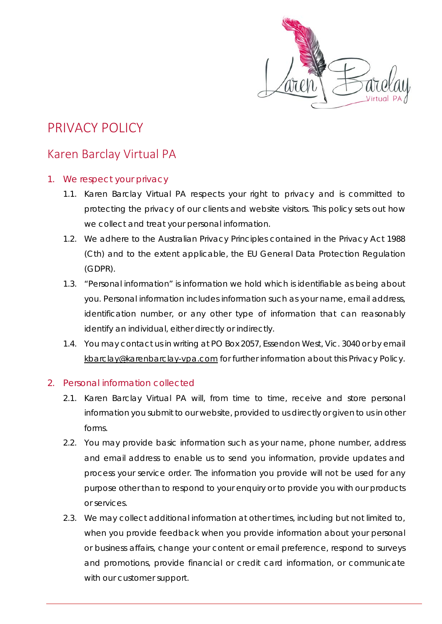

# PRIVACY POLICY

# Karen Barclay Virtual PA

#### 1. We respect your privacy

- 1.1. Karen Barclay Virtual PA respects your right to privacy and is committed to protecting the privacy of our clients and website visitors. This policy sets out how we collect and treat your personal information.
- 1.2. We adhere to the Australian Privacy Principles contained in the *Privacy Act 1988* (Cth) and to the extent applicable, the EU General Data Protection Regulation (GDPR).
- 1.3. "Personal information" is information we hold which is identifiable as being about you. Personal information includes information such as your name, email address, identification number, or any other type of information that can reasonably identify an individual, either directly or indirectly.
- 1.4. You may contact us in writing at PO Box 2057, Essendon West, Vic. 3040 or by email [kbarclay@karenbarclay-vpa.com](mailto:kbarclay@karenbarclay-vpa.com) for further information about this Privacy Policy.

## 2. Personal information collected

- 2.1. Karen Barclay Virtual PA will, from time to time, receive and store personal information you submit to our website, provided to us directly or given to us in other forms.
- 2.2. You may provide basic information such as your name, phone number, address and email address to enable us to send you information, provide updates and process your service order. The information you provide will not be used for any purpose other than to respond to your enquiry or to provide you with our products or services.
- 2.3. We may collect additional information at other times, including but not limited to, when you provide feedback when you provide information about your personal or business affairs, change your content or email preference, respond to surveys and promotions, provide financial or credit card information, or communicate with our customer support.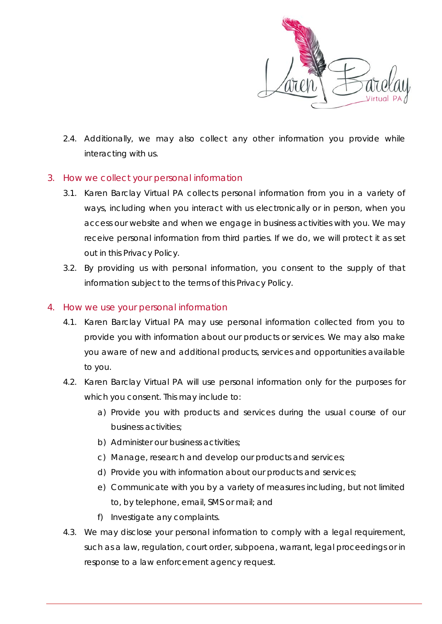

2.4. Additionally, we may also collect any other information you provide while interacting with us.

#### 3. How we collect your personal information

- 3.1. Karen Barclay Virtual PA collects personal information from you in a variety of ways, including when you interact with us electronically or in person, when you access our website and when we engage in business activities with you. We may receive personal information from third parties. If we do, we will protect it as set out in this Privacy Policy.
- 3.2. By providing us with personal information, you consent to the supply of that information subject to the terms of this Privacy Policy.

#### 4. How we use your personal information

- 4.1. Karen Barclay Virtual PA may use personal information collected from you to provide you with information about our products or services. We may also make you aware of new and additional products, services and opportunities available to you.
- 4.2. Karen Barclay Virtual PA will use personal information only for the purposes for which you consent. This may include to:
	- a) Provide you with products and services during the usual course of our business activities;
	- b) Administer our business activities;
	- c) Manage, research and develop our products and services;
	- d) Provide you with information about our products and services;
	- e) Communicate with you by a variety of measures including, but not limited to, by telephone, email, SMS or mail; and
	- f) Investigate any complaints.
- 4.3. We may disclose your personal information to comply with a legal requirement, such as a law, regulation, court order, subpoena, warrant, legal proceedings or in response to a law enforcement agency request.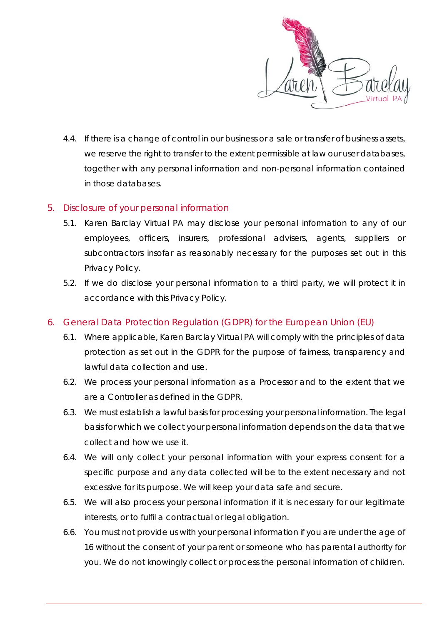

4.4. If there is a change of control in our business or a sale or transfer of business assets, we reserve the right to transfer to the extent permissible at law our user databases, together with any personal information and non-personal information contained in those databases.

#### 5. Disclosure of your personal information

- 5.1. Karen Barclay Virtual PA may disclose your personal information to any of our employees, officers, insurers, professional advisers, agents, suppliers or subcontractors insofar as reasonably necessary for the purposes set out in this Privacy Policy.
- 5.2. If we do disclose your personal information to a third party, we will protect it in accordance with this Privacy Policy.
- 6. General Data Protection Regulation (GDPR) for the European Union (EU)
	- 6.1. Where applicable, Karen Barclay Virtual PA will comply with the principles of data protection as set out in the GDPR for the purpose of fairness, transparency and lawful data collection and use.
	- 6.2. We process your personal information as a Processor and to the extent that we are a Controller as defined in the GDPR.
	- 6.3. We must establish a lawful basis for processing your personal information. The legal basis for which we collect your personal information depends on the data that we collect and how we use it.
	- 6.4. We will only collect your personal information with your express consent for a specific purpose and any data collected will be to the extent necessary and not excessive for its purpose. We will keep your data safe and secure.
	- 6.5. We will also process your personal information if it is necessary for our legitimate interests, or to fulfil a contractual or legal obligation.
	- 6.6. You must not provide us with your personal information if you are under the age of 16 without the consent of your parent or someone who has parental authority for you. We do not knowingly collect or process the personal information of children.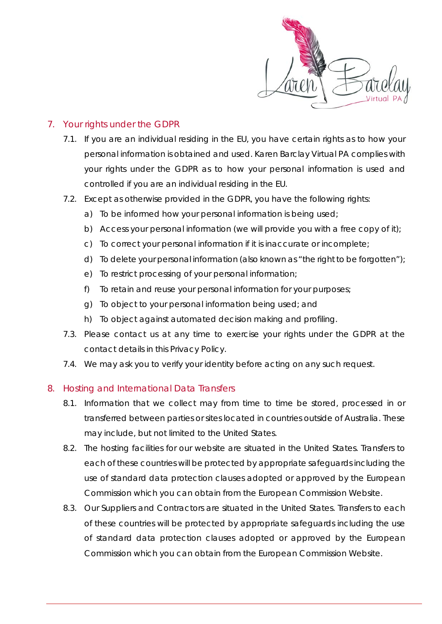

# 7. Your rights under the GDPR

- 7.1. If you are an individual residing in the EU, you have certain rights as to how your personal information is obtained and used. Karen Barclay Virtual PA complies with your rights under the GDPR as to how your personal information is used and controlled if you are an individual residing in the EU.
- 7.2. Except as otherwise provided in the GDPR, you have the following rights:
	- a) To be informed how your personal information is being used;
	- b) Access your personal information (we will provide you with a free copy of it);
	- c) To correct your personal information if it is inaccurate or incomplete;
	- d) To delete your personal information (also known as "the right to be forgotten");
	- e) To restrict processing of your personal information;
	- f) To retain and reuse your personal information for your purposes;
	- g) To object to your personal information being used; and
	- h) To object against automated decision making and profiling.
- 7.3. Please contact us at any time to exercise your rights under the GDPR at the contact details in this Privacy Policy.
- 7.4. We may ask you to verify your identity before acting on any such request.

## 8. Hosting and International Data Transfers

- 8.1. Information that we collect may from time to time be stored, processed in or transferred between parties or sites located in countries outside of Australia. These may include, but not limited to the United States.
- 8.2. The hosting facilities for our website are situated in the United States. Transfers to each of these countries will be protected by appropriate safeguards including the use of standard data protection clauses adopted or approved by the European Commission which you can obtain from the European Commission Website.
- 8.3. Our Suppliers and Contractors are situated in the United States. Transfers to each of these countries will be protected by appropriate safeguards including the use of standard data protection clauses adopted or approved by the European Commission which you can obtain from the European Commission Website.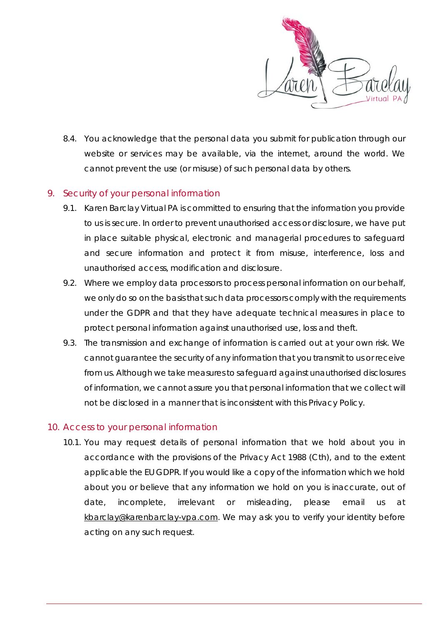

8.4. You acknowledge that the personal data you submit for publication through our website or services may be available, via the internet, around the world. We cannot prevent the use (or misuse) of such personal data by others.

#### 9. Security of your personal information

- 9.1. Karen Barclay Virtual PA is committed to ensuring that the information you provide to us is secure. In order to prevent unauthorised access or disclosure, we have put in place suitable physical, electronic and managerial procedures to safeguard and secure information and protect it from misuse, interference, loss and unauthorised access, modification and disclosure.
- 9.2. Where we employ data processors to process personal information on our behalf, we only do so on the basis that such data processors comply with the requirements under the GDPR and that they have adequate technical measures in place to protect personal information against unauthorised use, loss and theft.
- 9.3. The transmission and exchange of information is carried out at your own risk. We cannot guarantee the security of any information that you transmit to us or receive from us. Although we take measures to safeguard against unauthorised disclosures of information, we cannot assure you that personal information that we collect will not be disclosed in a manner that is inconsistent with this Privacy Policy.

## 10. Access to your personal information

10.1. You may request details of personal information that we hold about you in accordance with the provisions of the *Privacy Act 1988* (Cth), and to the extent applicable the EU GDPR. If you would like a copy of the information which we hold about you or believe that any information we hold on you is inaccurate, out of date, incomplete, irrelevant or misleading, please email us at [kbarclay@karenbarclay-vpa.com.](mailto:kbarclay@karenbarclay-vpa.com) We may ask you to verify your identity before acting on any such request.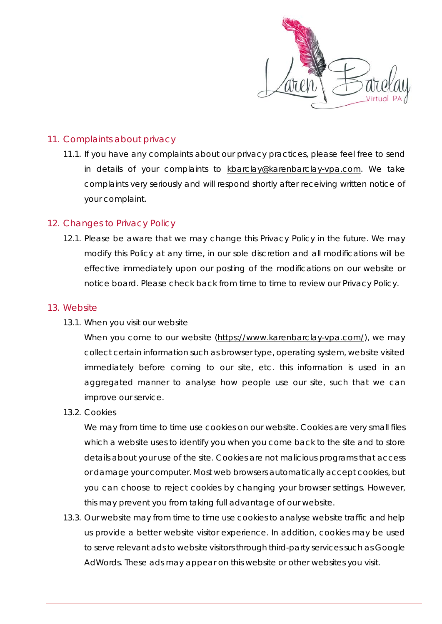

#### 11. Complaints about privacy

11.1. If you have any complaints about our privacy practices, please feel free to send in details of your complaints to [kbarclay@karenbarclay-vpa.com.](mailto:kbarclay@karenbarclay-vpa.com) We take complaints very seriously and will respond shortly after receiving written notice of your complaint.

#### 12. Changes to Privacy Policy

12.1. Please be aware that we may change this Privacy Policy in the future. We may modify this Policy at any time, in our sole discretion and all modifications will be effective immediately upon our posting of the modifications on our website or notice board. Please check back from time to time to review our Privacy Policy.

#### 13. Website

*13.1. When you visit our website*

When you come to our website [\(https://www.karenbarclay-vpa.com/\)](https://www.karenbarclay-vpa.com/), we may collect certain information such as browser type, operating system, website visited immediately before coming to our site, etc. this information is used in an aggregated manner to analyse how people use our site, such that we can improve our service.

*13.2. Cookies*

We may from time to time use cookies on our website. Cookies are very small files which a website uses to identify you when you come back to the site and to store details about your use of the site. Cookies are not malicious programs that access or damage your computer. Most web browsers automatically accept cookies, but you can choose to reject cookies by changing your browser settings. However, this may prevent you from taking full advantage of our website.

13.3. Our website may from time to time use cookies to analyse website traffic and help us provide a better website visitor experience. In addition, cookies may be used to serve relevant ads to website visitors through third-party services such as Google AdWords. These ads may appear on this website or other websites you visit.